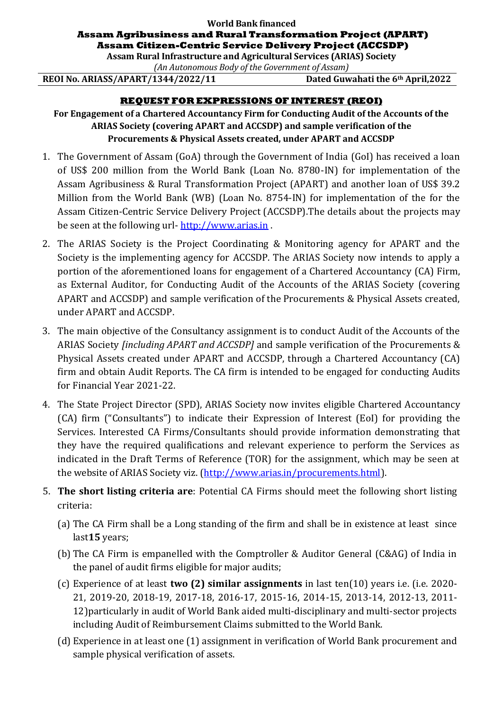## **World Bank financed Assam Agribusiness and Rural Transformation Project (APART) Assam Citizen-Centric Service Delivery Project (ACCSDP)**

**Assam Rural Infrastructure and Agricultural Services (ARIAS) Society**

*(An Autonomous Body of the Government of Assam)*

**REOI No. ARIASS/APART/1344/2022/11 Dated Guwahati the 6th April,2022**

## **REQUEST FOR EXPRESSIONS OF INTEREST (REOI)**

**For Engagement of a Chartered Accountancy Firm for Conducting Audit of the Accounts of the ARIAS Society (covering APART and ACCSDP) and sample verification of the Procurements & Physical Assets created, under APART and ACCSDP**

- 1. The Government of Assam (GoA) through the Government of India (GoI) has received a loan of US\$ 200 million from the World Bank (Loan No. 8780-IN) for implementation of the Assam Agribusiness & Rural Transformation Project (APART) and another loan of US\$ 39.2 Million from the World Bank (WB) (Loan No. 8754-IN) for implementation of the for the Assam Citizen-Centric Service Delivery Project (ACCSDP).The details about the projects may be seen at the following url- [http://www.arias.in](http://www.arias.in/apart.php) .
- 2. The ARIAS Society is the Project Coordinating & Monitoring agency for APART and the Society is the implementing agency for ACCSDP. The ARIAS Society now intends to apply a portion of the aforementioned loans for engagement of a Chartered Accountancy (CA) Firm, as External Auditor, for Conducting Audit of the Accounts of the ARIAS Society (covering APART and ACCSDP) and sample verification of the Procurements & Physical Assets created, under APART and ACCSDP.
- 3. The main objective of the Consultancy assignment is to conduct Audit of the Accounts of the ARIAS Society *[including APART and ACCSDP]* and sample verification of the Procurements & Physical Assets created under APART and ACCSDP, through a Chartered Accountancy (CA) firm and obtain Audit Reports. The CA firm is intended to be engaged for conducting Audits for Financial Year 2021-22.
- 4. The State Project Director (SPD), ARIAS Society now invites eligible Chartered Accountancy (CA) firm ("Consultants") to indicate their Expression of Interest (EoI) for providing the Services. Interested CA Firms/Consultants should provide information demonstrating that they have the required qualifications and relevant experience to perform the Services as indicated in the Draft Terms of Reference (TOR) for the assignment, which may be seen at the website of ARIAS Society viz. [\(http://www.arias.in/procurements.html\)](http://www.arias.in/procurements.html).
- 5. **The short listing criteria are**: Potential CA Firms should meet the following short listing criteria:
	- (a) The CA Firm shall be a Long standing of the firm and shall be in existence at least since last**15** years;
	- (b) The CA Firm is empanelled with the Comptroller & Auditor General (C&AG) of India in the panel of audit firms eligible for major audits;
	- (c) Experience of at least **two (2) similar assignments** in last ten(10) years i.e. (i.e. 2020- 21, 2019-20, 2018-19, 2017-18, 2016-17, 2015-16, 2014-15, 2013-14, 2012-13, 2011- 12)particularly in audit of World Bank aided multi-disciplinary and multi-sector projects including Audit of Reimbursement Claims submitted to the World Bank.
	- (d) Experience in at least one (1) assignment in verification of World Bank procurement and sample physical verification of assets.